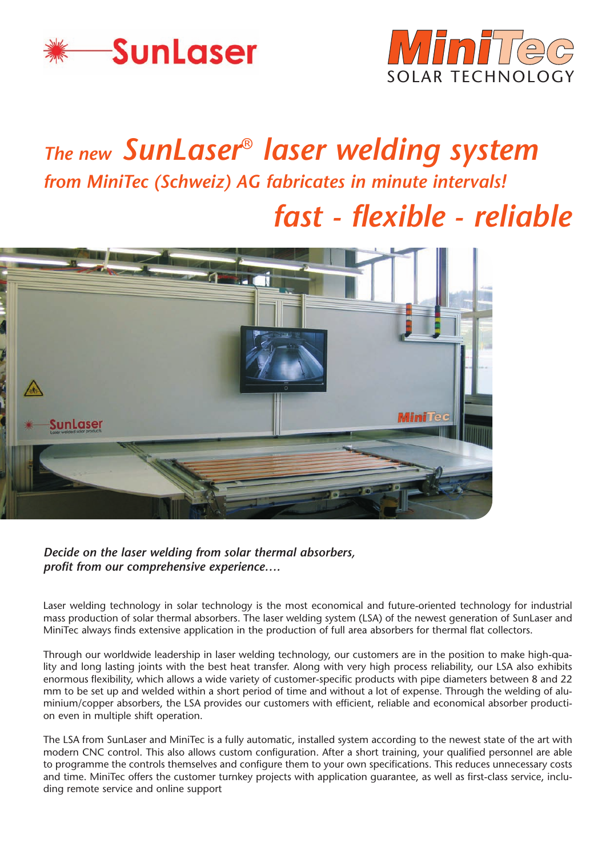



# *The new SunLaser*® *laser welding system from MiniTec (Schweiz) AG fabricates in minute intervals! fast - flexible - reliable*



*Decide on the laser welding from solar thermal absorbers, profit from our comprehensive experience….*

Laser welding technology in solar technology is the most economical and future-oriented technology for industrial mass production of solar thermal absorbers. The laser welding system (LSA) of the newest generation of SunLaser and MiniTec always finds extensive application in the production of full area absorbers for thermal flat collectors.

Through our worldwide leadership in laser welding technology, our customers are in the position to make high-quality and long lasting joints with the best heat transfer. Along with very high process reliability, our LSA also exhibits enormous flexibility, which allows a wide variety of customer-specific products with pipe diameters between 8 and 22 mm to be set up and welded within a short period of time and without a lot of expense. Through the welding of aluminium/copper absorbers, the LSA provides our customers with efficient, reliable and economical absorber production even in multiple shift operation.

The LSA from SunLaser and MiniTec is a fully automatic, installed system according to the newest state of the art with modern CNC control. This also allows custom configuration. After a short training, your qualified personnel are able to programme the controls themselves and configure them to your own specifications. This reduces unnecessary costs and time. MiniTec offers the customer turnkey projects with application guarantee, as well as first-class service, including remote service and online support